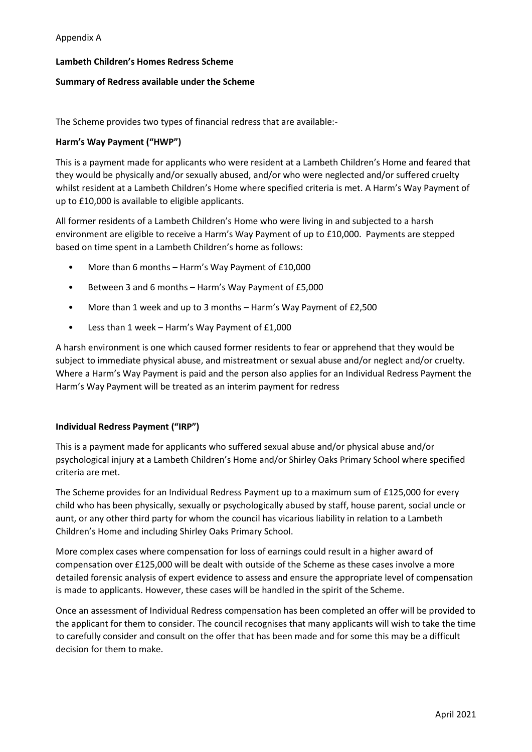## **Lambeth Children's Homes Redress Scheme**

## **Summary of Redress available under the Scheme**

The Scheme provides two types of financial redress that are available:-

## **Harm's Way Payment ("HWP")**

This is a payment made for applicants who were resident at a Lambeth Children's Home and feared that they would be physically and/or sexually abused, and/or who were neglected and/or suffered cruelty whilst resident at a Lambeth Children's Home where specified criteria is met. A Harm's Way Payment of up to £10,000 is available to eligible applicants.

All former residents of a Lambeth Children's Home who were living in and subjected to a harsh environment are eligible to receive a Harm's Way Payment of up to £10,000. Payments are stepped based on time spent in a Lambeth Children's home as follows:

- More than 6 months Harm's Way Payment of £10,000
- Between 3 and 6 months Harm's Way Payment of £5,000
- More than 1 week and up to 3 months Harm's Way Payment of £2,500
- Less than 1 week Harm's Way Payment of £1,000

A harsh environment is one which caused former residents to fear or apprehend that they would be subject to immediate physical abuse, and mistreatment or sexual abuse and/or neglect and/or cruelty. Where a Harm's Way Payment is paid and the person also applies for an Individual Redress Payment the Harm's Way Payment will be treated as an interim payment for redress

## **Individual Redress Payment ("IRP")**

This is a payment made for applicants who suffered sexual abuse and/or physical abuse and/or psychological injury at a Lambeth Children's Home and/or Shirley Oaks Primary School where specified criteria are met.

The Scheme provides for an Individual Redress Payment up to a maximum sum of £125,000 for every child who has been physically, sexually or psychologically abused by staff, house parent, social uncle or aunt, or any other third party for whom the council has vicarious liability in relation to a Lambeth Children's Home and including Shirley Oaks Primary School.

More complex cases where compensation for loss of earnings could result in a higher award of compensation over £125,000 will be dealt with outside of the Scheme as these cases involve a more detailed forensic analysis of expert evidence to assess and ensure the appropriate level of compensation is made to applicants. However, these cases will be handled in the spirit of the Scheme.

Once an assessment of Individual Redress compensation has been completed an offer will be provided to the applicant for them to consider. The council recognises that many applicants will wish to take the time to carefully consider and consult on the offer that has been made and for some this may be a difficult decision for them to make.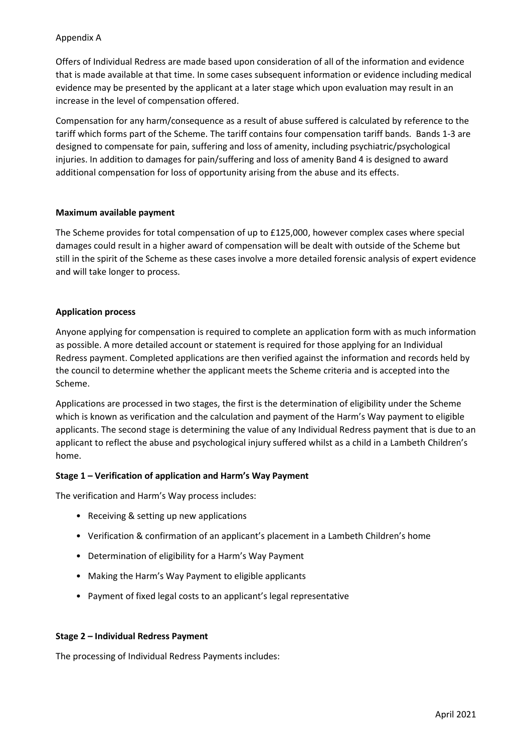## Appendix A

Offers of Individual Redress are made based upon consideration of all of the information and evidence that is made available at that time. In some cases subsequent information or evidence including medical evidence may be presented by the applicant at a later stage which upon evaluation may result in an increase in the level of compensation offered.

Compensation for any harm/consequence as a result of abuse suffered is calculated by reference to the tariff which forms part of the Scheme. The tariff contains four compensation tariff bands. Bands 1-3 are designed to compensate for pain, suffering and loss of amenity, including psychiatric/psychological injuries. In addition to damages for pain/suffering and loss of amenity Band 4 is designed to award additional compensation for loss of opportunity arising from the abuse and its effects.

## **Maximum available payment**

The Scheme provides for total compensation of up to £125,000, however complex cases where special damages could result in a higher award of compensation will be dealt with outside of the Scheme but still in the spirit of the Scheme as these cases involve a more detailed forensic analysis of expert evidence and will take longer to process.

## **Application process**

Anyone applying for compensation is required to complete an application form with as much information as possible. A more detailed account or statement is required for those applying for an Individual Redress payment. Completed applications are then verified against the information and records held by the council to determine whether the applicant meets the Scheme criteria and is accepted into the Scheme.

Applications are processed in two stages, the first is the determination of eligibility under the Scheme which is known as verification and the calculation and payment of the Harm's Way payment to eligible applicants. The second stage is determining the value of any Individual Redress payment that is due to an applicant to reflect the abuse and psychological injury suffered whilst as a child in a Lambeth Children's home.

## **Stage 1 – Verification of application and Harm's Way Payment**

The verification and Harm's Way process includes:

- Receiving & setting up new applications
- Verification & confirmation of an applicant's placement in a Lambeth Children's home
- Determination of eligibility for a Harm's Way Payment
- Making the Harm's Way Payment to eligible applicants
- Payment of fixed legal costs to an applicant's legal representative

## **Stage 2 – Individual Redress Payment**

The processing of Individual Redress Payments includes: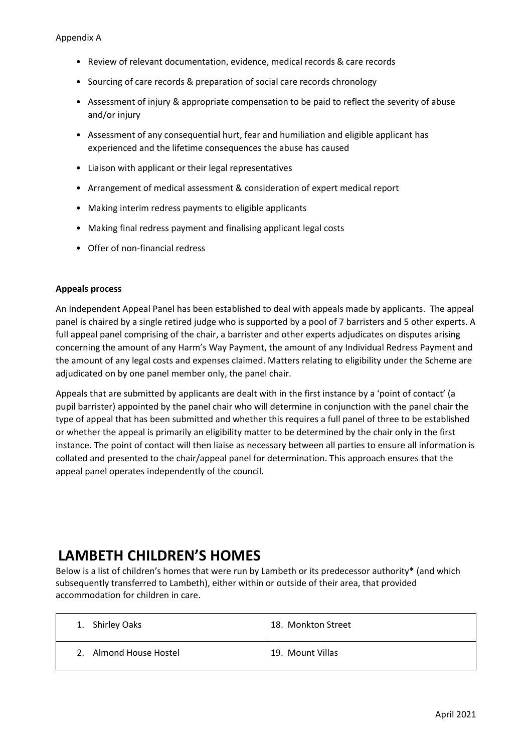- Review of relevant documentation, evidence, medical records & care records
- Sourcing of care records & preparation of social care records chronology
- Assessment of injury & appropriate compensation to be paid to reflect the severity of abuse and/or injury
- Assessment of any consequential hurt, fear and humiliation and eligible applicant has experienced and the lifetime consequences the abuse has caused
- Liaison with applicant or their legal representatives
- Arrangement of medical assessment & consideration of expert medical report
- Making interim redress payments to eligible applicants
- Making final redress payment and finalising applicant legal costs
- Offer of non-financial redress

## **Appeals process**

An Independent Appeal Panel has been established to deal with appeals made by applicants. The appeal panel is chaired by a single retired judge who is supported by a pool of 7 barristers and 5 other experts. A full appeal panel comprising of the chair, a barrister and other experts adjudicates on disputes arising concerning the amount of any Harm's Way Payment, the amount of any Individual Redress Payment and the amount of any legal costs and expenses claimed. Matters relating to eligibility under the Scheme are adjudicated on by one panel member only, the panel chair.

Appeals that are submitted by applicants are dealt with in the first instance by a 'point of contact' (a pupil barrister) appointed by the panel chair who will determine in conjunction with the panel chair the type of appeal that has been submitted and whether this requires a full panel of three to be established or whether the appeal is primarily an eligibility matter to be determined by the chair only in the first instance. The point of contact will then liaise as necessary between all parties to ensure all information is collated and presented to the chair/appeal panel for determination. This approach ensures that the appeal panel operates independently of the council.

# **LAMBETH CHILDREN'S HOMES**

Below is a list of children's homes that were run by Lambeth or its predecessor authority**\*** (and which subsequently transferred to Lambeth), either within or outside of their area, that provided accommodation for children in care.

| 1. Shirley Oaks        | 18. Monkton Street |
|------------------------|--------------------|
| 2. Almond House Hostel | 19. Mount Villas   |